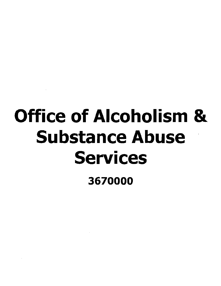# Office of Alcoholism & Substance Abuse Services

3670000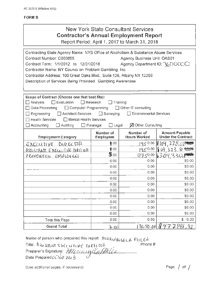# **New York State Consultant Services Contractor's Annual Employment Report**

Report Period: April 1, 2017 to March 31, 2018

| Contracting State Agency Name: NYS Office of Alcoholism & Substance Abuse Services |                           |                               |                           |  |
|------------------------------------------------------------------------------------|---------------------------|-------------------------------|---------------------------|--|
| Contract Number: C003855                                                           |                           | Agency Business Unit: OAS01   |                           |  |
| Contract Term: 1/1/2012 to 12/31/2018<br>Agency Department ID: 3670CCC             |                           |                               |                           |  |
| Contractor Name: NY Council on Problem Gambling, Inc.                              |                           |                               |                           |  |
| Contractor Address: 100 Great Oaks Blvd., Suite 126, Albany NY 12203               |                           |                               |                           |  |
| Description of Services Being Provided: Gambling Awareness                         |                           |                               |                           |  |
|                                                                                    |                           |                               |                           |  |
|                                                                                    |                           |                               |                           |  |
| Scope of Contract (Choose one that best fits):                                     |                           |                               |                           |  |
| $\Box$ Evaluation<br>Analysis                                                      | $\Box$ Research           | Training                      |                           |  |
| □ Computer Programming<br>Data Processing                                          |                           | Other IT consulting           |                           |  |
| Architect Services<br>Engineering                                                  | $\Box$ Surveying          | <b>Environmental Services</b> |                           |  |
| <b>Health Services</b><br>□ Mental Health Services                                 |                           |                               |                           |  |
| Accounting<br>Auditing                                                             | $\Box$ Legal<br>Paralegal | <b>⊠</b> Other Consulting     |                           |  |
|                                                                                    | Number of                 | Number of                     | <b>Amount Payable</b>     |  |
| <b>Employment Category</b>                                                         | <b>Employees</b>          | <b>Hours Worked</b>           | <b>Under the Contract</b> |  |
| <u>EXECUTIVE DIRECTOR</u>                                                          | 0.00                      | 1950.00                       | N 164, 228, 09988         |  |
| <u>ASSISTANT EXECUTIVE DIRECOR</u>                                                 | 0.00                      | 1950.00                       | \$⊌9 323 ଇ <del>© ©</del> |  |
| PREVENTION EMPLOYEES                                                               | 5.00                      | 9750.00                       | 6304330.P                 |  |
|                                                                                    | 0.00                      | 0.00                          | \$0.00                    |  |
|                                                                                    | 0.00                      | 0.00                          | \$0.00                    |  |
|                                                                                    | 0.00                      | 0.00                          | \$0.00                    |  |
|                                                                                    | 0.00                      | 0.00                          | \$0.00                    |  |
|                                                                                    | 0.00                      | 0.00                          | \$0.00                    |  |
|                                                                                    | 0.00                      | 0.00.                         | \$0.00                    |  |
|                                                                                    | 0.00                      | 0.00                          | \$0.00                    |  |
|                                                                                    | 0.00                      | 0.00                          | \$0.00                    |  |
|                                                                                    | 0.00                      | 0.00                          | \$0.00                    |  |
|                                                                                    |                           |                               |                           |  |
|                                                                                    | 0.00                      | 0.00                          | \$0.00                    |  |
| Total this Page                                                                    | 0.00                      | 0.00                          | \$0.00                    |  |

Name of person who prepared this report: MACIANGECA MILEA Phone  $#$ :

Title: ASSISTANT EXECUTIVE DIRECTOR Preparer's Signature: Allouaind CallAllo Date Prepared 65 / cd 2018

(Use additional pages, if necessary)

Page  $/$  of  $/$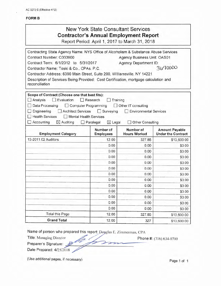AC 3272-S (Effective 4/12)

## **FORM B**

# New York State Consultant Services **Contractor's Annual Employment Report**

Report Period: April 1, 2017 to March 31, 2018

| Contracting State Agency Name: NYS Office of Alcoholism & Substance Abuse Services                                                                                                                                                                        |                                                                           |                                                                          |                                                    |
|-----------------------------------------------------------------------------------------------------------------------------------------------------------------------------------------------------------------------------------------------------------|---------------------------------------------------------------------------|--------------------------------------------------------------------------|----------------------------------------------------|
| Contract Number: C003900                                                                                                                                                                                                                                  |                                                                           | Agency Business Unit: OAS01                                              |                                                    |
| Contract Term: 6/1/2012 to 5/31/2017                                                                                                                                                                                                                      |                                                                           | Agency Department ID:                                                    |                                                    |
| Contractor Name: Toski & Co., CPAs, P.C.                                                                                                                                                                                                                  |                                                                           |                                                                          | 3670000                                            |
| Contractor Address: 6390 Main Street, Suite 200, Williamsville, NY 14221                                                                                                                                                                                  |                                                                           |                                                                          |                                                    |
| Description of Services Being Provided: Cost Certification, mortgage calculation and<br>reconciliation                                                                                                                                                    |                                                                           |                                                                          |                                                    |
| Scope of Contract (Choose one that best fits):<br>$\Box$ Evaluation<br>Analysis<br>Data Processing<br>Computer Programming<br>Architect Services<br>Engineering<br><b>Health Services</b><br>Mental Health Services<br>Accounting<br>$\boxtimes$ Auditing | $\Box$ Research<br>Training<br>$\Box$ Surveying<br>$X$ Legal<br>Paralegal | Other IT consulting<br><b>Environmental Services</b><br>Other Consulting |                                                    |
| <b>Employment Category</b>                                                                                                                                                                                                                                | Number of<br><b>Employees</b>                                             | Number of<br><b>Hours Worked</b>                                         | <b>Amount Payable</b><br><b>Under the Contract</b> |
| 13-2011.02 Auditors                                                                                                                                                                                                                                       | 12.00                                                                     | 327.85                                                                   | \$13,600.00                                        |
|                                                                                                                                                                                                                                                           | 0.00                                                                      | 0.00                                                                     | \$0.00                                             |
|                                                                                                                                                                                                                                                           | 0.00                                                                      | 0.00                                                                     | \$0.00                                             |
|                                                                                                                                                                                                                                                           | 0.00                                                                      | 0.00                                                                     | \$0.00                                             |
|                                                                                                                                                                                                                                                           | 0.00                                                                      | 0.00                                                                     | \$0.00                                             |
|                                                                                                                                                                                                                                                           | 0.00                                                                      | 0.00                                                                     | \$0.00                                             |
|                                                                                                                                                                                                                                                           | 0.00                                                                      | 0.00                                                                     | \$0.00                                             |
|                                                                                                                                                                                                                                                           | 0.00                                                                      | 0.00                                                                     | \$0.00                                             |
|                                                                                                                                                                                                                                                           | 0.00                                                                      | 0.00                                                                     | \$0.00                                             |
|                                                                                                                                                                                                                                                           | 0.00                                                                      | 0.00                                                                     | \$0.00                                             |
|                                                                                                                                                                                                                                                           | 0.00                                                                      | 0.00                                                                     | \$0.00                                             |
|                                                                                                                                                                                                                                                           | 0.00                                                                      | 0.00                                                                     | \$0.00                                             |
|                                                                                                                                                                                                                                                           | 0.00                                                                      | 0.00                                                                     | \$0.00                                             |
| <b>Total this Page</b>                                                                                                                                                                                                                                    | 12.00                                                                     | 327.85                                                                   | \$13,600.00                                        |
| <b>Grand Total</b>                                                                                                                                                                                                                                        | 12.00                                                                     | 327                                                                      | \$13,600.00                                        |

Name of person who prepared this report: De glas E. Zimmerman\_ CPA Title: Managing Director ;0 Phone#: (7 16) 634-0700

Title: Managing Director Phone #: (716) 634-0700

Date Prepared: 4/25/2018

(Use additional pages, if necessary) example 2 and 2 and 2 and 2 and 2 and 2 and 2 and 2 and 2 and 2 and 2 and 2 and 2 and 2 and 2 and 2 and 2 and 2 and 2 and 2 and 2 and 2 and 2 and 2 and 2 and 2 and 2 and 2 and 2 and 2 a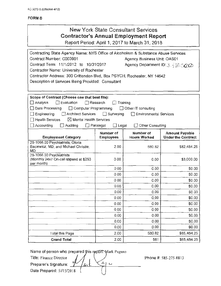| <b>New York State Consultant Services</b>      |
|------------------------------------------------|
| <b>Contractor's Annual Employment Report</b>   |
| Report Period: April 1, 2017 to March 31, 2018 |
|                                                |

| Contracting State Agency Name: NYS Office of Alcoholism & Substance Abuse Services            |                               |                                         |                                                    |
|-----------------------------------------------------------------------------------------------|-------------------------------|-----------------------------------------|----------------------------------------------------|
| Contract Number: C003901                                                                      |                               | Agency Business Unit: OAS01             |                                                    |
| Contract Term: 11/1/2012 to 10/31/2017                                                        |                               | Agency Department ID: 3. 5 76 7222      |                                                    |
| Contractor Name: University of Rochester                                                      |                               |                                         |                                                    |
| Contractor Address: 300 Crittenden Blvd, Box PSYCH, Rochester, NY 14642                       |                               |                                         |                                                    |
| Description of Services Being Provided: Consultant                                            |                               |                                         |                                                    |
|                                                                                               |                               |                                         |                                                    |
|                                                                                               |                               |                                         |                                                    |
| Scope of Contract (Choose one that best fits):                                                |                               |                                         |                                                    |
| $\Box$ Evaluation<br>$\square$ Analysis                                                       | Research                      | Training                                |                                                    |
| Data Processing<br>$\Box$ Computer Programming                                                |                               | $\Box$ Other IT consulting              |                                                    |
| Engineering<br>Architect Services                                                             | $\Box$ Surveying              | <b>Environmental Services</b>           |                                                    |
| <b>Health Services</b><br>$\boxtimes$ Mental Health Services<br>Accounting<br>$\Box$ Auditing | $\Box$ Paralegal              | Other Consulting                        |                                                    |
|                                                                                               | $\Box$ Legal                  |                                         |                                                    |
| <b>Employment Category</b>                                                                    | Number of<br><b>Employees</b> | <b>Number of</b><br><b>Hours Worked</b> | <b>Amount Payable</b><br><b>Under the Contract</b> |
| 29-1066.00 Psychiatrists, Gloria<br>Baciewicz, MD, and Michael Christie,<br>MD                | 2.00                          | 580.82                                  | \$82,484.25                                        |
| 29-1066.00 Psychiatrists<br>(Monthly 24x7 On-call stipend at \$250<br>per month)              | 0.00                          | 0.00                                    | \$3,000.00                                         |
|                                                                                               | 0.00                          | 0.00                                    | \$0.00                                             |
|                                                                                               | 0.00                          | 0.00                                    | \$0.00                                             |
|                                                                                               | 0.00                          | 0.00                                    | \$0.00                                             |
|                                                                                               | 0.00                          | 0.00                                    | \$0.00                                             |
|                                                                                               | 0.00                          | 0.00                                    | \$0.00                                             |
|                                                                                               | 0.00                          | 0.00                                    | \$0.00                                             |
|                                                                                               | 0.00                          | 0,00                                    | \$0.00                                             |
|                                                                                               | 0.00                          | 0.00                                    | \$0.00                                             |
|                                                                                               | 0.00                          | 0.00                                    | \$0.00                                             |
|                                                                                               | 0.00                          | 0.00                                    | \$0.00                                             |
|                                                                                               | 0.00                          | 0.00                                    | \$0.00                                             |
| Total this Page                                                                               | 2.00                          | 580.82                                  | \$85,484.25                                        |
| <b>Grand Total</b>                                                                            | 2.00                          | 581                                     | \$85,484.25                                        |

Name of person who prepared this report. Mark Pagano

Title: Finance Director  $\left( \mathcal{A}, \mathcal{A} \right)$ Preparer's Signature:  $\frac{1}{\sqrt{4\kappa}}\left(\frac{\zeta_1}{\zeta_2}\right)$ Date Prepared: 5//15/2018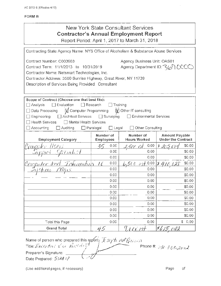## **New York State Consultant Services Contractor's Annual Employment Report** Report Period: April 1, 2017 to March 31, 2018

| Contracting State Agency Name: NYS Office of Alcoholism & Substance Abuse Services                                                                                                                                                                                                                                                                                                                                                                                                                                           |                               |                                                                                                                  |                                                    |
|------------------------------------------------------------------------------------------------------------------------------------------------------------------------------------------------------------------------------------------------------------------------------------------------------------------------------------------------------------------------------------------------------------------------------------------------------------------------------------------------------------------------------|-------------------------------|------------------------------------------------------------------------------------------------------------------|----------------------------------------------------|
| Contract Number: C003903<br>Contract Term: 11/1/2013 to 10/31/2019<br>Contractor Name: Netsmart Technologies, Inc.<br>Contractor Address: 3500 Sunrise Highway, Great River, NY 11739<br>Description of Services Being Provided: Consultant<br>Scope of Contract (Choose one that best fits):<br>$\Box$ Evaluation<br>$\Box$ Research<br>$\Box$ Analysis<br><b>X</b> Computer Programming<br>Data Processing<br>□ Architect Services □ Surveying<br>$\Box$ Engineering<br>□ Mental Health Services<br><b>Health Services</b> | $\Box$ Training               | Agency Business Unit: OAS01<br>Agency Department ID: 360 CCCC<br>V Other IT consulting<br>Environmental Services |                                                    |
| $\Box$ Accounting<br>$\Box$ Auditing                                                                                                                                                                                                                                                                                                                                                                                                                                                                                         | Paralegal<br>$\Box$ Legal     | Other Consulting                                                                                                 |                                                    |
| <b>Employment Category</b>                                                                                                                                                                                                                                                                                                                                                                                                                                                                                                   | Number of<br><b>Employees</b> | Number of<br><b>Hours Worked</b>                                                                                 | <b>Amount Payable</b><br><b>Under the Contract</b> |
| Computer Users<br>Support Specialist                                                                                                                                                                                                                                                                                                                                                                                                                                                                                         | 0.00<br>36                    | 0.00<br>2,500 est                                                                                                | \$0.00<br>r 205                                    |
|                                                                                                                                                                                                                                                                                                                                                                                                                                                                                                                              | 0.00                          | 0.00                                                                                                             | \$0.00                                             |
|                                                                                                                                                                                                                                                                                                                                                                                                                                                                                                                              | 0.00                          | 0.00.                                                                                                            | \$0.00                                             |
| Computer and Information                                                                                                                                                                                                                                                                                                                                                                                                                                                                                                     | 0.00<br>10                    | $4.500$ est. 0.00                                                                                                | \$0.00<br><u> § 410 138</u>                        |
|                                                                                                                                                                                                                                                                                                                                                                                                                                                                                                                              | 0.00                          | 0.00                                                                                                             | \$0.00                                             |
|                                                                                                                                                                                                                                                                                                                                                                                                                                                                                                                              | 0.00                          | 0.00                                                                                                             | \$0.00                                             |
|                                                                                                                                                                                                                                                                                                                                                                                                                                                                                                                              | 0.00                          | 0.00                                                                                                             | \$0.00                                             |
|                                                                                                                                                                                                                                                                                                                                                                                                                                                                                                                              | 0.00                          | 0.00                                                                                                             | \$0.00                                             |
|                                                                                                                                                                                                                                                                                                                                                                                                                                                                                                                              | 0.00                          | 0.00                                                                                                             | \$0.00                                             |
|                                                                                                                                                                                                                                                                                                                                                                                                                                                                                                                              | 0.00                          | 0.00                                                                                                             | \$0.00                                             |
|                                                                                                                                                                                                                                                                                                                                                                                                                                                                                                                              | 0.00                          | 0.00                                                                                                             | \$0.00                                             |
|                                                                                                                                                                                                                                                                                                                                                                                                                                                                                                                              | 0.00                          | 0.00                                                                                                             | \$0.00                                             |
|                                                                                                                                                                                                                                                                                                                                                                                                                                                                                                                              | 0.00                          | 0.00                                                                                                             | \$0.00                                             |
| Total this Page                                                                                                                                                                                                                                                                                                                                                                                                                                                                                                              | 0.00                          | 0.00                                                                                                             | \$0.00                                             |
| <b>Grand Total</b>                                                                                                                                                                                                                                                                                                                                                                                                                                                                                                           | 45                            | $9$ p.e.r. net                                                                                                   | 2615 042                                           |

Name of person who prepared this report Isaph net Busin Preparer's Signature: Date Prepared: 5129 18

(Use additional pages, if necessary)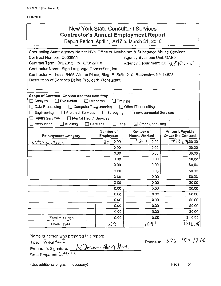## New York State Consultant Services **Contractor's Annual Employment Report**  Report Period: April 1, 2017 to March 31, 2018

| Contracting State Agency Name: NYS Office of Alcoholism & Substance Abuse Services                 |                               |                                  |                                                    |
|----------------------------------------------------------------------------------------------------|-------------------------------|----------------------------------|----------------------------------------------------|
| Contract Number: C003905                                                                           |                               | Agency Business Unit; OAS01      |                                                    |
| Contract Term: 9/1/2013 to 8//31/2018                                                              |                               | Agency Department ID: 367CCOC    |                                                    |
| Contractor Name: Sign Language Connection, Inc.                                                    |                               |                                  |                                                    |
| Contractor Address: 3495 Winton Place, Bldg. E, Suite 210, Rochester, NY 14623                     |                               |                                  |                                                    |
| Description of Services Being Provided: Consultant                                                 |                               |                                  |                                                    |
|                                                                                                    |                               |                                  |                                                    |
|                                                                                                    |                               |                                  |                                                    |
| Scope of Contract (Choose one that best fits):<br>Analysis<br>$\Box$ Evaluation<br>$\Box$ Research | Training                      |                                  |                                                    |
| Data Processing<br>Computer Programming                                                            |                               | Other IT consulting              |                                                    |
| Architect Services<br>Engineering                                                                  | $\Box$ Surveying              | $\Box$ Environmental Services    |                                                    |
| $\Box$ Health Services<br>$\Box$ Mental Health Services                                            |                               |                                  | 07.48. TS                                          |
| $\Box$ Accounting<br>$\Box$ Auditing                                                               | $\Box$ Legal<br>□ Paralegal   | $\boxtimes$ Other Consulting     |                                                    |
|                                                                                                    |                               |                                  |                                                    |
| <b>Employment Category</b>                                                                         | Number of<br><b>Employees</b> | Number of<br><b>Hours Worked</b> | <b>Amount Payable</b><br><b>Under the Contract</b> |
| <u>inter preters</u>                                                                               | 28<br>0.00                    | i 39<br>0.00                     | 7931/750.00                                        |
|                                                                                                    | 0.00                          | 0.00                             | \$0.00                                             |
|                                                                                                    | 0.00                          | 0.00                             | \$0.00                                             |
|                                                                                                    | 0.00                          | 0.00                             | \$0.00                                             |
|                                                                                                    | 0.00                          | 0.00                             | \$0.00                                             |
|                                                                                                    | 0.00                          | 0.00                             | \$0.00                                             |
|                                                                                                    | 0.00                          | 0.00                             | \$0.00                                             |
|                                                                                                    | 0.00                          | 0.00                             | \$0.00                                             |
|                                                                                                    | 0.00                          | 0.00                             | \$0.00                                             |
|                                                                                                    | 0.00                          | 0.00                             | \$0.00                                             |
|                                                                                                    | 0.00                          | 0.00                             | \$0.00                                             |
|                                                                                                    | 0.00                          | 0.00                             | \$0.00                                             |
|                                                                                                    | 0.00                          | 0.00                             | \$0.00                                             |
| Total this Page                                                                                    | 0.00                          | 0.00                             | \$0.00                                             |
| <b>Grand Total</b>                                                                                 | 28                            | 1391                             |                                                    |

Name of person who prepared this report:

Title: President<br>Preparer's Signature: **1. Donnom** Ben love Name of person who prepared this report:<br>Title:  $P_{Y} \propto d \omega t$ <br>Preparer's Signature:  $Q_{Y} \propto \frac{P_{Y} Q_{Y}}{P_{Y}}$ Date Prepared: 5/4/<sup>18</sup>

Phone #: 585 454 4220

(Use additional pages, if necessary) example of the example of the example of the example of the example of the example of the example of the example of the example of the example of the example of the example of the examp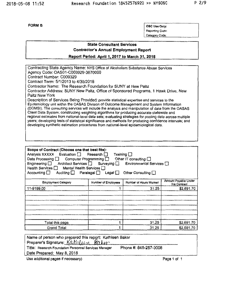OSC Use Only: Reporting Code: Category Code:

## **State Consultant Services Contractor's Annual Employment Report**

**Reoort Period: Aprll 1. 2017 to March** 31, **2018** 

Contracting State Agency Name: NYS Office of Alcoholism Substance Abuse Services Agency Code: OAS01-C003929·3670000 Contract Number: C009329 Contract Term: 5/1/2013 to 4/3012018 Contractor Name: The Research Foundation for SUNY at New Paltz Contractor Address: SUNY New Paltz, Office of Sponsored Programs, 1 Hawk Drive, New Paltz New York Description of Services Being Provided: provide statistical expertise and services to the Epidemiology unit within the OASAS Division of Outcome Management and System Information (DOMSI), The consulting services will include the analysis and manipulation of data from the OASAS Client Data System: constructing weighting algorithms for producing accurate statewide and regional estimates from national-level data sets; evaluating strategies for pooling data across multiple years; developing tests of statistical significance and methods for producing confidence intervals; and developing synthetic estimation procedures from national-level epidemiological data,

| Scope of Contract (Choose one that best fits):<br>Analysis $XXXX$ Evaluation $\Box$ Research $\Box$<br>Training $\square$<br>Other IT consulting $\square$<br>Data Processing $\square$<br>Computer Programming $\Box$<br>Engineering □ Architect Services □ Surveying □<br>Environmental Services □<br>Health Services □ Mental Health Services □<br>Auditing $\Box$ Paralegal $\Box$ Legal $\Box$<br>Other Consulting<br>Accounting $\square$ |                     |                        |                                      |
|-------------------------------------------------------------------------------------------------------------------------------------------------------------------------------------------------------------------------------------------------------------------------------------------------------------------------------------------------------------------------------------------------------------------------------------------------|---------------------|------------------------|--------------------------------------|
| <b>Employment Category</b>                                                                                                                                                                                                                                                                                                                                                                                                                      | Number of Employees | Number of Hours Worked | Amount Payable Under<br>the Contract |
| 11-9199.00                                                                                                                                                                                                                                                                                                                                                                                                                                      |                     | 31.25                  | \$2,691.70                           |
| Total this page                                                                                                                                                                                                                                                                                                                                                                                                                                 |                     | 31.25                  | \$2,691.70                           |
| Grand Total                                                                                                                                                                                                                                                                                                                                                                                                                                     |                     | 31.25                  | \$2,691.70                           |

| Name of person who prepared this report: Kathleen Baker<br>Preparer's Signature: Kathleen Baker |  |
|-------------------------------------------------------------------------------------------------|--|
| Phone #: 845-257-3008<br>Title: Research Foundation Personnel Services Manager                  |  |
| Date Prepared: May 8, 2018                                                                      |  |

Use additional pages if necessary) **Page 1** of 1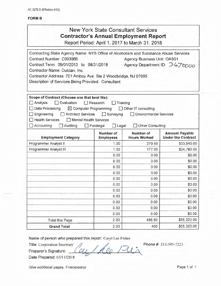# New York State Consultant Services **Contractor's Annual Employment Report**

Report Period: April 1, 2017 to March 31, 2018

| Contracting State Agency Name: NYS Office of Alcoholism and Substance Abuse Services |                                  |                                  |                                                    |
|--------------------------------------------------------------------------------------|----------------------------------|----------------------------------|----------------------------------------------------|
| Contract Number: C003966                                                             |                                  | Agency Business Unit: OAS01      |                                                    |
| Contract Term: 09/01/2013 to 08/31/2018                                              |                                  | Agency Department ID: 3676000    |                                                    |
| Contractor Name: Dulcian, Inc.                                                       |                                  |                                  |                                                    |
| Contractor Address: 701 Amboy Ave. Ste 2 Woodbridge, NJ 07095                        |                                  |                                  |                                                    |
| Description of Services Being Provided: Consultant                                   |                                  |                                  |                                                    |
| Scope of Contract (Choose one that best fits):                                       |                                  |                                  |                                                    |
| Analysis<br>$\Box$ Evaluation                                                        | $\Box$ Research<br>Training      |                                  |                                                    |
| Data Processing<br>$\boxtimes$ Computer Programming                                  |                                  | $\Box$ Other IT consulting       |                                                    |
| Engineering                                                                          | Architect Services □ Surveying   | Environmental Services           |                                                    |
| Health Services<br>Mental Health Services                                            |                                  |                                  |                                                    |
| $\Box$ Accounting<br>Auditing                                                        | $\Box$ Paralegal<br>$\Box$ Legal | Other Consulting                 |                                                    |
| <b>Employment Category</b>                                                           | Number of<br><b>Employees</b>    | Number of<br><b>Hours Worked</b> | <b>Amount Payable</b><br><b>Under the Contract</b> |
| Programmer Analyst II                                                                | 1.00                             | 279.50                           | \$33,540.00                                        |
| Programmer Analyst III                                                               | 1.00                             | 177.00                           | \$24,780.00                                        |
|                                                                                      | 0.00                             | 0.00                             | \$0.00                                             |
|                                                                                      | 0.00                             | 0.00                             | \$0.00                                             |
|                                                                                      | 0.00                             | 0.00                             | \$0.00                                             |
|                                                                                      | 0.00                             | 0.00                             | \$0.00                                             |
|                                                                                      | 0.00                             | 0.00                             | \$0.00                                             |
|                                                                                      | 0.00                             | 0.00                             | \$0.00                                             |
|                                                                                      | 0.00                             | 0.00                             | \$0.00                                             |
|                                                                                      | 0.00                             | 0.00                             | \$0.00                                             |
|                                                                                      | 0.00                             | 0.00                             | \$0.00                                             |
|                                                                                      | 0.00                             | 0.00                             | \$0.00                                             |
|                                                                                      | 0.00                             | 0.00                             | \$0.00                                             |
| <b>Total this Page</b>                                                               | 2.00                             | 456.50                           | \$58,320.00                                        |
| <b>Grand Total</b>                                                                   | 2.00                             | 456                              | \$58,320.00                                        |

/

*\_ ,1*  11

Name of person who prepared this report: Caryl Lee Fisher<br>
Title: Corporation Secretary<br>
Preparer's Signature: (CU, AQ / JUA<br>
Pete Prepared: 05/11/2019

Title: Corporation Secretary

Date Prepared: 05/11/2018

(Use additional pages, if necessary) example the control of the Page 1 of 1

Phone #: 212-595-7223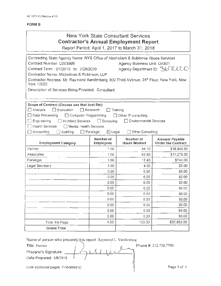# New York State Consultant Services **Contractor's Annual Employment Report**

Report Period: April 1, 2017 to March 31, 2018

| Contracting State Agency Name: NYS Office of Alcoholism & Subtance Abuse Services       |                                       |                               |                               |
|-----------------------------------------------------------------------------------------|---------------------------------------|-------------------------------|-------------------------------|
| Contract Number: C003998                                                                |                                       | Agency Business Unit: OAS01   |                               |
| Contract Term: 3/1/2015 to 2/28/2020                                                    |                                       |                               | Agency Department ID: 36 TUCC |
| Contractor Name: Michelman & Robinson, LLP                                              |                                       |                               |                               |
| Contractor Address: Mr. Raymond Vandenberg, 800 Third AVenue, 24th Floor, New York, New |                                       |                               |                               |
| York 10022                                                                              |                                       |                               |                               |
| Description of Services Being Provided: Consultant                                      |                                       |                               |                               |
|                                                                                         |                                       |                               |                               |
| Scope of Contract (Choose one that best fits):                                          |                                       |                               |                               |
| $\Box$ Analysis<br>$\Box$ Evaluation                                                    | $\Box$ Research<br>Training           |                               |                               |
| □ Data Processing<br>$\Box$ Computer Programming                                        |                                       | $\Box$ Other IT consulting    |                               |
| Engineering<br><b>Architect Services</b>                                                | Surveying<br>$\Box$                   | <b>Environmental Services</b> |                               |
| <b>Health Services</b><br>□ Mental Health Services                                      |                                       |                               |                               |
| $\Box$ Accounting<br>Auditing                                                           | $\boxtimes$ Legal<br>$\Box$ Paralegal | Other Consulting              |                               |
|                                                                                         | Number of                             | Number of                     | <b>Amount Payable</b>         |
| <b>Employment Category</b>                                                              | <b>Employees</b>                      | <b>Hours Worked</b>           | <b>Under the Contract</b>     |
| Partner                                                                                 | 1.00                                  | 44.10                         | \$19,845.00                   |
| Associates                                                                              | 1.00                                  | 62.80                         | \$17,270.00                   |
| Paralegal                                                                               | 1.00                                  | 12.40                         | \$744.00                      |
| Legal Secretary                                                                         | 1.00                                  | 4.00                          | \$0.00                        |
|                                                                                         | 0.00                                  | 0.00                          | \$0.00                        |
|                                                                                         | 0.00                                  | 0.00                          | \$0.00                        |
|                                                                                         | 0.00                                  | 0.00                          | \$0.00                        |
|                                                                                         |                                       |                               |                               |
|                                                                                         | 0.00                                  | 0.00                          | \$0.00                        |
|                                                                                         | 0.00                                  | 0.00                          | \$0.00                        |
|                                                                                         | 0.00                                  | 0.00                          | \$0.00                        |
|                                                                                         | 0.00                                  | 0.00                          | \$0.00                        |
|                                                                                         | 0.00                                  | 0.00                          | \$0.00                        |
|                                                                                         | 0.00                                  | 0.00                          | \$0.00                        |
| Total this Page                                                                         | 4.00                                  | 123.30                        | \$37,859.00                   |

Name of person who prepared this report: Raymond L. Vandenberg

1 Title: Partner  $\begin{pmatrix} 1 \\ 1 \end{pmatrix}$  Phone #: 212.730.7700 Preparer's Signature: Date Prepared: 5/8/2018

(Use additional pages, if necessary) Network and Network in the Page 1 of 1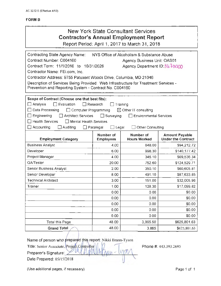| <b>New York State Consultant Services</b><br><b>Contractor's Annual Employment Report</b><br>Report Period: April 1, 2017 to March 31, 2018                                                                                                                                                                                                                  |                                                    |                                                                                                                     |                                                    |  |  |  |
|--------------------------------------------------------------------------------------------------------------------------------------------------------------------------------------------------------------------------------------------------------------------------------------------------------------------------------------------------------------|----------------------------------------------------|---------------------------------------------------------------------------------------------------------------------|----------------------------------------------------|--|--|--|
| Contracting State Agency Name:<br>Contract Number: C004160<br>Contract Term: 11/1/2016 to 10/31/2026<br>Contractor Name: FEi.com, Inc.<br>Contractor Address: 9755 Patuxent Woods Drive, Columbia, MD 21046<br>Description of Services Being Provided: Web Infrastructure for Treatment Services -<br>Prevention and Reporting System - Contract No. C004160 |                                                    | NYS Office of Alcoholism & Substance Abuse<br><b>Agency Business Unit: OAS01</b><br>Agency Department ID: 36 + 6000 |                                                    |  |  |  |
| Scope of Contract (Choose one that best fits):<br>Analysis<br>Evaluation<br>Data Processing<br>Computer Programming<br>$\blacksquare$<br>Engineering<br><b>Architect Services</b><br>$\blacksquare$<br><b>Health Services</b><br>$\Box$ Mental Health Services<br>Accounting<br>Auditing                                                                     | Research<br>$\Box$ Surveying<br>Paralegal<br>Legal | Training<br>$\boxtimes$ Other IT consulting<br><b>Environmental Services</b><br>Other Consulting                    |                                                    |  |  |  |
| <b>Employment Category</b>                                                                                                                                                                                                                                                                                                                                   | <b>Number of</b><br><b>Employees</b>               | Number of<br><b>Hours Worked</b>                                                                                    | <b>Amount Payable</b><br><b>Under the Contract</b> |  |  |  |
| <b>Business Analyst</b>                                                                                                                                                                                                                                                                                                                                      | 4.00                                               | 648.00                                                                                                              | \$94,212.72                                        |  |  |  |
| Developer                                                                                                                                                                                                                                                                                                                                                    | 6.00                                               | 998.30                                                                                                              | \$140,177.42                                       |  |  |  |
| Project Manager                                                                                                                                                                                                                                                                                                                                              | 4.00                                               | 346.10                                                                                                              | \$69,536.34                                        |  |  |  |
| QA/Tester                                                                                                                                                                                                                                                                                                                                                    | 20.00                                              | 752.60                                                                                                              | \$124,529.71                                       |  |  |  |
| Senior Business Analyst                                                                                                                                                                                                                                                                                                                                      | 2.00                                               | 350.10                                                                                                              | \$60,605.81                                        |  |  |  |
| Senior Developer                                                                                                                                                                                                                                                                                                                                             | 8.00                                               | 491.10                                                                                                              | \$87,633.85                                        |  |  |  |
| <b>Technical Architect</b>                                                                                                                                                                                                                                                                                                                                   | 3.00 <sub>1</sub>                                  | 151.00                                                                                                              | \$32,005.96                                        |  |  |  |
| Trainer                                                                                                                                                                                                                                                                                                                                                      | 1.00                                               | 128.30                                                                                                              | \$17,099.82                                        |  |  |  |
|                                                                                                                                                                                                                                                                                                                                                              | 0.00                                               | 0.00                                                                                                                | \$0.00                                             |  |  |  |
|                                                                                                                                                                                                                                                                                                                                                              | 0.00                                               | 0.00                                                                                                                | \$0.00                                             |  |  |  |
|                                                                                                                                                                                                                                                                                                                                                              | 0.00                                               | 0.00                                                                                                                | \$0.00                                             |  |  |  |
|                                                                                                                                                                                                                                                                                                                                                              | 0.00                                               | 0.00                                                                                                                | \$0.00                                             |  |  |  |
| 0.00<br>0.00<br>\$0.00                                                                                                                                                                                                                                                                                                                                       |                                                    |                                                                                                                     |                                                    |  |  |  |
| Total this Page                                                                                                                                                                                                                                                                                                                                              | 48.00                                              | 3,865.50                                                                                                            | \$625,801.63                                       |  |  |  |
| <b>Grand Total</b>                                                                                                                                                                                                                                                                                                                                           | 48.00                                              | 3,865                                                                                                               | \$625,801.63                                       |  |  |  |

Name of person who prepared this report: Nikki Brann-Tyson Title: Senior Associate, Project, Control  $\begin{bmatrix} \text{eport: Nikki Brann-Ty} \\ \text{def} \end{bmatrix}$ 

Preparer's Signature: - *v* rv Date Prepared: 05/15/2018

Phone#: 443.393.2695

(Use additional pages, if necessary) example that the example of the Page 1 of 1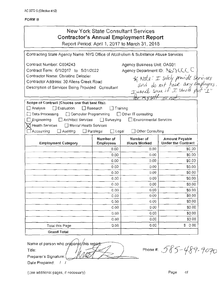# **New York State Consultant Services Contractor's Annual Employment Report**

Report Period: April 1, 2017 to March 31, 2018

| Contracting State Agency Name: NYS Office of Alcoholism & Substance Abuse Services |                                    |                                |                                                                    |
|------------------------------------------------------------------------------------|------------------------------------|--------------------------------|--------------------------------------------------------------------|
| Contract Number: C004243                                                           | Agency Business Unit: OAS01        |                                |                                                                    |
| Contract Term: 6/1/2017 to 5/31/2022                                               |                                    | Agency Department ID: 367 CCCC |                                                                    |
| Contractor Name: Christine Delozier                                                |                                    |                                | * Note: I solely provide services<br>and do not have any employees |
| Contractor Address: 30 Allens Creek Road                                           |                                    |                                |                                                                    |
| Description of Services Being Provided: Consultant                                 |                                    |                                |                                                                    |
|                                                                                    |                                    |                                |                                                                    |
|                                                                                    |                                    |                                | myself or not.                                                     |
| Scope of Contract (Choose one that best fits):                                     |                                    |                                |                                                                    |
| Analysis<br>Evaluation                                                             | $\Box$ Research<br>$\Box$ Training |                                |                                                                    |
| Data Processing<br>Computer Programming                                            | $\Box$                             | Other IT consulting            |                                                                    |
| Engineering<br>□ Architect Services                                                | $\Box$ Surveying                   | <b>Environmental Services</b>  |                                                                    |
| <b>Health Services</b><br>Mental Health Services                                   |                                    |                                |                                                                    |
| Accounting<br>$\Box$ Auditing                                                      | Paralegal<br>$\square$ Legal       | Other Consulting               |                                                                    |
|                                                                                    | Number of                          | Number of                      | <b>Amount Payable</b>                                              |
| <b>Employment Category</b>                                                         | <b>Employees</b>                   | <b>Hours Worked</b>            | <b>Under the Contract</b>                                          |
|                                                                                    | 0.00                               | 0.00                           | \$0.00                                                             |
|                                                                                    | 0.00                               | 0.00                           | \$0.00                                                             |
|                                                                                    | 0.00                               | 0.00                           | \$0.00                                                             |
|                                                                                    | 0.00                               | 0.00                           | \$0.00                                                             |
|                                                                                    | 0.00                               | 0.00                           | \$0.00                                                             |
|                                                                                    | 0.00                               | 0.00                           | \$0.00                                                             |
|                                                                                    | 0.00                               | 0.00                           | \$0.00                                                             |
|                                                                                    | 0.00                               | 0.00                           | \$0.00                                                             |
|                                                                                    | 0.00                               | 0.00                           | \$0.00                                                             |
|                                                                                    | 0.00                               | 0.00                           | \$0.00                                                             |
|                                                                                    | 0.00                               | 0.00                           | \$0.00                                                             |
|                                                                                    | 0.00                               | 0.00                           | \$0.00                                                             |
|                                                                                    | 0.00                               | 0.00                           | \$0.00                                                             |
| Total this Page                                                                    | 0.00                               | 0.00                           | \$0.00                                                             |
| <b>Grand Total</b>                                                                 |                                    |                                |                                                                    |
|                                                                                    |                                    |                                |                                                                    |

Name of person who prepared/this report Title: ' Vli Preparer's Signature: Date Prepared: / /

Phone #: 585-489-9070

(Use additional pages, if necessary)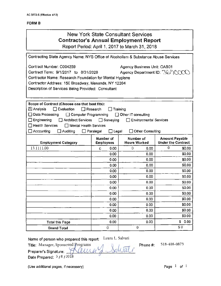## New York State Consultant Services **Contractor's Annual Employment Report**  Report Period: April 1, 2017 to March 31 , 2018

Contracting State Agency Name: NYS Office of Alcoholism & Substance Abuse Services Contract Number: C004259 Agency Business Unit: OAS01 Contract Term: 9/1/2017 to 8/31/2020 Agency Department ID:  $\Im G$   $\cap$ Contractor Name: Research Foundation for Mental Hygiene Contractor Address: 150 Broadway, Menands, NY 12204 Description of Services Being Provided: Consultant Scope of Contract (Choose one that best fits):  $[\overline{X}]$  Analysis  $\Box$  Evaluation  $\Box$  Research  $\Box$  Training □ Data Processing □ Computer Programming □ Other IT consulting  $\Box$  **Engineering**  $\Box$  **Architect Services**  $\Box$  **Surveying**  $\Box$  **Environmental Services**  $\Box$  Health Services  $\Box$  Mental Health Services  $\Box$  Accounting  $\Box$  Auditing  $\Box$  Paralegal  $\Box$  Legal  $\Box$  Other Consulting Number of **Number of Amount Payable**<br>Employees Hours Worked Under the Contract Employment Category | Employees  $13.1111.00$   $\begin{vmatrix} 0 & 0.00 & 0 \end{vmatrix}$  0 0.00 0.00 0  $\begin{vmatrix} 0 & 0.00 & 0 \end{vmatrix}$  0 0.00  $0.00$   $0.00$  \$0.00 0.00 **\$0.00 \$0.00**  $0.00$   $0.00$   $0.00$   $0.00$  $0.00$   $\begin{matrix} 0.00 \end{matrix}$   $\begin{matrix} 0.00 \end{matrix}$   $\begin{matrix} 50.00 \end{matrix}$ 0.00 **0.00** 50.00  $0.00$  \$0.00 \$0.00 0.00 **0.00** 50.00  $0.00$   $0.00$  \$0.00  $0.00$   $0.00$  \$0.00 0.00 **\$0.00 \$0.00** 0.00 **\$0.00** \$0.00 0.00 \$0.00 \$0.00 Total this Page 0.00 0.00 \$ 0.00 Grand Total  $\overline{0}$  0  $\overline{0}$  0  $\overline{0}$  50

Name of person who prepared this report: Laura L. Salvati

Phone#: 518-408-0873

Title: Manager, Sponsored Programs<br>Preparer's Signature: *A alwal* , Salval i Date Prepared:  $5/8/2018$ 

(Use additional pages, if necessary)  $\qquad \qquad$  Page  $1$  of  $1$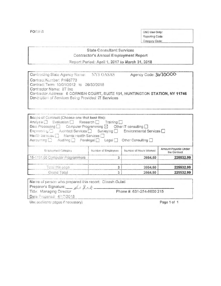FORM 8

OSC Use Only: Reporting Code: Category Code:

## **State Consultant Services Contractor's Annual Employment Report**

Report Period: April 1, 2017 to March 31, 2018

| Contracting State Agency Name:                      | <b>NYS OASAS</b> | Agency Code: 3670000                                                        |
|-----------------------------------------------------|------------------|-----------------------------------------------------------------------------|
| Contract Number: PH66773                            |                  |                                                                             |
| Contract Term: 10/01/2012 to 09/30/2018             |                  |                                                                             |
| Contractor Name: IIT Inc.                           |                  |                                                                             |
|                                                     |                  | Contractor Address 6 CORNISH COURT, SUITE 101, HUNTINGTON STATION, NY 11746 |
| Description of Services Being Provided: IT Services |                  |                                                                             |
|                                                     |                  |                                                                             |

| Scope of Contract (Choose one that best fits):<br>Analysis   Evaluation   Research   Training  <br>Data Processing $\Box$ Computer Programming $\boxtimes$ Cther IT consulting $\Box$<br>Engineering <b>Einstein Architect Services [3]</b> Surveying <b>Einstromental Services</b> El<br>Health Services [1] Mental Health Services [1]<br>Accounting [ Auditing [ Paralegal   Legal   Other Consulting |                                                                                       |         |           |  |  |  |
|----------------------------------------------------------------------------------------------------------------------------------------------------------------------------------------------------------------------------------------------------------------------------------------------------------------------------------------------------------------------------------------------------------|---------------------------------------------------------------------------------------|---------|-----------|--|--|--|
| Entployment Category                                                                                                                                                                                                                                                                                                                                                                                     | Amount Payable Under<br>Number of Hours Worked<br>Number of Employees<br>the Contract |         |           |  |  |  |
| 15-1131.00 Computer Programmers<br>3<br>2664.50<br>225532.99                                                                                                                                                                                                                                                                                                                                             |                                                                                       |         |           |  |  |  |
|                                                                                                                                                                                                                                                                                                                                                                                                          |                                                                                       |         |           |  |  |  |
| Total this page                                                                                                                                                                                                                                                                                                                                                                                          | 3                                                                                     | 2664.50 | 225532.99 |  |  |  |

| Name of person who prepared this report: Dinesh Gulati |                           |  |
|--------------------------------------------------------|---------------------------|--|
| Preparer's Signature: All Julet                        |                           |  |
| Title: Managing Director                               | Phone #: 631-254-8600 215 |  |
| Date Prepared: 4/17/2018                               |                           |  |
|                                                        |                           |  |

Use additional pages if necessary)

Page 1 of 1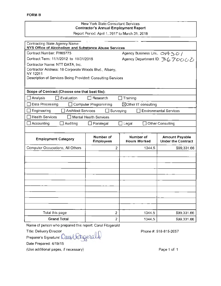## New York State Consultant Services **Contractor's Annual Employment Report**  Report Period: April 1, 2017 to March 31, 2018

| <b>Contracting State Agency Name:</b><br>NYS Office of Alcoholism and Substance Abuse Services |                               |                                         |                                                    |  |  |
|------------------------------------------------------------------------------------------------|-------------------------------|-----------------------------------------|----------------------------------------------------|--|--|
| Contract Number: PH65775                                                                       | Agency Business Unic OV+50/   |                                         |                                                    |  |  |
| Contract Term: 11/1/2012 to 10/31/2018                                                         |                               |                                         | Agency Department ID: 3670000                      |  |  |
| Contractor Name: NTT DATA, Inc.                                                                |                               |                                         |                                                    |  |  |
| Contractor Address: 18 Corporate Woods Blvd., Albany,                                          |                               |                                         |                                                    |  |  |
| NY 12211<br>Description of Services Being Provided: Consulting Services                        |                               |                                         |                                                    |  |  |
|                                                                                                |                               |                                         |                                                    |  |  |
|                                                                                                |                               |                                         |                                                    |  |  |
| Scope of Contract (Choose one that best fits):                                                 |                               |                                         |                                                    |  |  |
| Analysis<br>Evaluation                                                                         | Research                      | Training                                |                                                    |  |  |
| Data Processing                                                                                | <b>Computer Programming</b>   | $\boxtimes$ Other IT consulting         |                                                    |  |  |
| Engineering<br><b>Architect Services</b>                                                       | Surveying                     |                                         | <b>Environmental Services</b>                      |  |  |
| <b>Health Services</b>                                                                         | <b>Mental Health Services</b> |                                         |                                                    |  |  |
| Accounting<br>Auditing                                                                         | Paralegal                     | Legal<br>$\Box$                         | ◯ Other Consulting                                 |  |  |
|                                                                                                |                               |                                         |                                                    |  |  |
| <b>Employment Category</b>                                                                     | Number of<br><b>Employees</b> | <b>Number of</b><br><b>Hours Worked</b> | <b>Amount Payable</b><br><b>Under the Contract</b> |  |  |
| Computer Occupations, All Others                                                               | $\overline{2}$                | 1344.5                                  | \$99,331.66                                        |  |  |
|                                                                                                |                               |                                         |                                                    |  |  |
|                                                                                                |                               |                                         |                                                    |  |  |
|                                                                                                |                               |                                         |                                                    |  |  |
|                                                                                                |                               |                                         |                                                    |  |  |
|                                                                                                |                               |                                         |                                                    |  |  |
|                                                                                                |                               |                                         |                                                    |  |  |
|                                                                                                |                               |                                         |                                                    |  |  |
|                                                                                                |                               |                                         |                                                    |  |  |
|                                                                                                |                               |                                         |                                                    |  |  |
|                                                                                                |                               |                                         |                                                    |  |  |
| Total this page                                                                                | $\overline{2}$                | 1344.5                                  | \$99,331.66                                        |  |  |
| <b>Grand Total</b><br>$\overline{2}$<br>1344.5<br>\$99,331.66                                  |                               |                                         |                                                    |  |  |

Name of person who prepared this report: Carol Fitzgerald

Title: Delivery Director

Grand Total<br>
Name of person who prepared this report: Carol Fitzgeral<br>
Title: Delivery Director<br>
Preparer's Signature: Contel Lettegeral Q<br>
Date Prepared: 4/19/18

Date Prepared: 4/19/18

(Use additional pages, if necessary)

Phone#: 518-815-2057

Page 1 of 1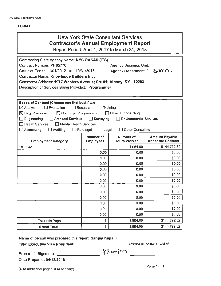| <b>New York State Consultant Services</b><br><b>Contractor's Annual Employment Report</b><br>Report Period: April 1, 2017 to March 31, 2018                                                                                                                                                                                                                                                                                                                        |                               |                                  |                                                    |  |
|--------------------------------------------------------------------------------------------------------------------------------------------------------------------------------------------------------------------------------------------------------------------------------------------------------------------------------------------------------------------------------------------------------------------------------------------------------------------|-------------------------------|----------------------------------|----------------------------------------------------|--|
| Contracting State Agency Name: NYS OASAS (ITS)<br>Contract Number: PH65776<br><b>Agency Business Unit:</b><br>Contract Term: 11/01/2012 to 10/31/2018<br>Agency Department ID: 3to 100000<br><b>Contractor Name: Knowledge Builders Inc.</b><br>Contractor Address: 1977 Western Avenue; Ste #1; Albany, NY - 12203<br>Description of Services Being Provided: Programmer                                                                                          |                               |                                  |                                                    |  |
| Scope of Contract (Choose one that best fits):<br>$\boxtimes$ Evaluation<br>$\boxtimes$ Analysis<br>$\Box$ Research<br>Training<br>$\boxtimes$ Data Processing<br>$\boxtimes$ Computer Programming<br>□ Other IT consulting<br>Engineering<br>Architect Services<br>$\Box$ Surveying<br><b>Environmental Services</b><br><b>Health Services</b><br>∃ Mental Health Services<br>$\square$ Legal<br>□ Other Consulting<br>Accounting<br>Auditing<br>$\Box$ Paralegal |                               |                                  |                                                    |  |
| <b>Employment Category</b>                                                                                                                                                                                                                                                                                                                                                                                                                                         | Number of<br><b>Employees</b> | Number of<br><b>Hours Worked</b> | <b>Amount Payable</b><br><b>Under the Contract</b> |  |
| 15-1132                                                                                                                                                                                                                                                                                                                                                                                                                                                            | 1                             | 1,984.00                         | \$144,792.32                                       |  |
|                                                                                                                                                                                                                                                                                                                                                                                                                                                                    | 0.00                          | 0.00                             | \$0.00                                             |  |
|                                                                                                                                                                                                                                                                                                                                                                                                                                                                    | 0.00                          | 0.00                             | \$0.00                                             |  |
|                                                                                                                                                                                                                                                                                                                                                                                                                                                                    | 0.00                          | 0.00                             | \$0.00                                             |  |
|                                                                                                                                                                                                                                                                                                                                                                                                                                                                    | 0.00                          | 0.00                             | \$0.00                                             |  |
|                                                                                                                                                                                                                                                                                                                                                                                                                                                                    | 0.00                          | 0.00                             | \$0.00                                             |  |
|                                                                                                                                                                                                                                                                                                                                                                                                                                                                    | 0.00                          | 0.00                             | \$0.00                                             |  |
|                                                                                                                                                                                                                                                                                                                                                                                                                                                                    | 0.00                          | 0.00                             | \$0.00                                             |  |
|                                                                                                                                                                                                                                                                                                                                                                                                                                                                    | 0.00                          | 0.00                             | \$0.00                                             |  |
|                                                                                                                                                                                                                                                                                                                                                                                                                                                                    | 0.00                          | 0.00                             | \$0.00                                             |  |
|                                                                                                                                                                                                                                                                                                                                                                                                                                                                    | 0.00                          | 0.00                             | \$0.00                                             |  |
|                                                                                                                                                                                                                                                                                                                                                                                                                                                                    | 0.00                          | 0.00                             | \$0.00                                             |  |
|                                                                                                                                                                                                                                                                                                                                                                                                                                                                    | 0.00                          | 0.00                             | \$0.00                                             |  |
| <b>Total this Page</b>                                                                                                                                                                                                                                                                                                                                                                                                                                             | 1                             | 1,984.00                         | \$144,792.32                                       |  |
| <b>Grand Total</b>                                                                                                                                                                                                                                                                                                                                                                                                                                                 | 1                             | 1,984.00                         | \$144,792.32                                       |  |

Name of person who prepared this report: Sanjay Kapalli

Title: Executive Vice President

Phone#: 518-810-7478

Preparer's Signature: - - -------

Date Prepared: 04/18/2018

(Use additional pages, if necessary)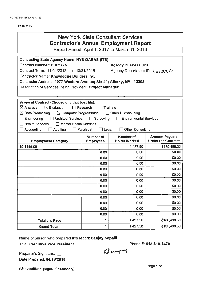| New York State Consultant Services<br><b>Contractor's Annual Employment Report</b><br>Report Period: April 1, 2017 to March 31, 2018                                                                                                                                                                                                                                                                                                                                                         |                        |                      |                              |  |  |  |
|----------------------------------------------------------------------------------------------------------------------------------------------------------------------------------------------------------------------------------------------------------------------------------------------------------------------------------------------------------------------------------------------------------------------------------------------------------------------------------------------|------------------------|----------------------|------------------------------|--|--|--|
|                                                                                                                                                                                                                                                                                                                                                                                                                                                                                              |                        |                      |                              |  |  |  |
| Contracting State Agency Name: NYS OASAS (ITS)<br>Contract Number: PH65776<br><b>Agency Business Unit:</b><br>Contract Term: 11/01/2012 to 10/31/2018<br>OOOO For The Partment ID: 3670000<br>Contractor Name: Knowledge Builders Inc.<br>Contractor Address: 1977 Western Avenue; Ste #1; Albany, NY - 12203<br>Description of Services Being Provided: Project Manager                                                                                                                     |                        |                      |                              |  |  |  |
| Scope of Contract (Choose one that best fits):<br>$\boxtimes$ Analysis<br>$\boxtimes$ Evaluation<br>$\Box$ Research<br>Training<br>$\boxtimes$ Data Processing<br>$\boxtimes$ Computer Programming<br>$\Box$ Other IT consulting<br>Engineering<br><b>Architect Services</b><br>$\Box$ Surveying<br><b>Environmental Services</b><br><b>Health Services</b><br><b>Mental Health Services</b><br>$\Box$ Accounting<br>$\Box$ Legal<br>$\Box$ Auditing<br>$\Box$ Paralegal<br>Other Consulting |                        |                      |                              |  |  |  |
| Number of<br>Number of<br><b>Amount Payable</b><br><b>Hours Worked</b><br><b>Under the Contract</b><br><b>Employment Category</b><br><b>Employees</b>                                                                                                                                                                                                                                                                                                                                        |                        |                      |                              |  |  |  |
| 15-1199.09                                                                                                                                                                                                                                                                                                                                                                                                                                                                                   | 1                      | 1,427.50             | \$135,498.30                 |  |  |  |
|                                                                                                                                                                                                                                                                                                                                                                                                                                                                                              | 0.00                   | 0.00                 | \$0.00                       |  |  |  |
|                                                                                                                                                                                                                                                                                                                                                                                                                                                                                              | 0.00                   | 0.00                 | \$0.00                       |  |  |  |
|                                                                                                                                                                                                                                                                                                                                                                                                                                                                                              | 0.00                   | 0.00                 | \$0.00                       |  |  |  |
|                                                                                                                                                                                                                                                                                                                                                                                                                                                                                              | 0.00                   | 0.00                 | \$0.00                       |  |  |  |
|                                                                                                                                                                                                                                                                                                                                                                                                                                                                                              | 0.00                   | 0.00                 | \$0.00                       |  |  |  |
|                                                                                                                                                                                                                                                                                                                                                                                                                                                                                              | \$0.00<br>0.00<br>0.00 |                      |                              |  |  |  |
| 0.00<br>0.00                                                                                                                                                                                                                                                                                                                                                                                                                                                                                 |                        |                      |                              |  |  |  |
|                                                                                                                                                                                                                                                                                                                                                                                                                                                                                              |                        |                      | \$0.00                       |  |  |  |
|                                                                                                                                                                                                                                                                                                                                                                                                                                                                                              | 0.00                   | 0.00                 | \$0.00                       |  |  |  |
|                                                                                                                                                                                                                                                                                                                                                                                                                                                                                              | 0.00                   | 0.00                 | \$0.00                       |  |  |  |
|                                                                                                                                                                                                                                                                                                                                                                                                                                                                                              | 0.00                   | 0.00                 | \$0.00                       |  |  |  |
|                                                                                                                                                                                                                                                                                                                                                                                                                                                                                              | 0.00                   | 0.00                 | \$0.00                       |  |  |  |
|                                                                                                                                                                                                                                                                                                                                                                                                                                                                                              | 0.00                   | 0.00                 | \$0.00                       |  |  |  |
| <b>Total this Page</b><br><b>Grand Total</b>                                                                                                                                                                                                                                                                                                                                                                                                                                                 | 1<br>1                 | 1,427.50<br>1,427.50 | \$135,498.30<br>\$135,498.30 |  |  |  |

Name of person who prepared this report: Sanjay Kapalli

Title: Executive Vice President

Phone#: 518-810-7478

Preparer's Signature: \_\_\_\_\_\_\_\_ \_

Date Prepared: 04/18/2018

(Use additional pages, if necessary)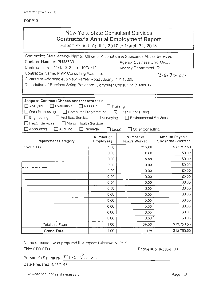## FORM 8

# New York State Consultant Services **Contractor's Annual Employment Report**

Report Period: April 1, 2017 to March 31, 2018

| Contracting State Agency Name: Office of Alcoholism & Substance Abuse Services<br>Contract Number: PH65780<br>Agency Business Unit: OAS01<br>Contract Term: 11/1/2012 to 10/31/18<br>Agency Department ID:<br>Contractor Name: MVP Consulting Plus, Inc.<br>3670000<br>Contractor Address: 435 New Karner Road Albany, NY 12205<br>Description of Services Being Provided: Computer Consulting (Various) |       |        |             |  |  |
|----------------------------------------------------------------------------------------------------------------------------------------------------------------------------------------------------------------------------------------------------------------------------------------------------------------------------------------------------------------------------------------------------------|-------|--------|-------------|--|--|
| Scope of Contract (Choose one that best fits):<br>$\Box$ Analysis<br>Evaluation<br>$\Box$ Research<br>Training<br>Data Processing<br>□ Computer Programming<br>⊠ Other IT consulting<br>Engineering<br>Architect Services<br>$\Box$ Surveying<br><b>Environmental Services</b><br>Health Services<br>Mental Health Services<br>Accounting<br>Auditing<br>] Paralegal<br>Other Consulting<br>] Legal      |       |        |             |  |  |
| Number of<br>Amount Payable<br>Number of<br><b>Under the Contract</b><br><b>Hours Worked</b><br><b>Employment Category</b><br>Employees                                                                                                                                                                                                                                                                  |       |        |             |  |  |
| 15-1151.00                                                                                                                                                                                                                                                                                                                                                                                               | 1.00  | 159.00 | \$13,753.50 |  |  |
|                                                                                                                                                                                                                                                                                                                                                                                                          | 0.00  | 0.00   | \$0.00      |  |  |
|                                                                                                                                                                                                                                                                                                                                                                                                          | 0.00. | 0.00   | \$0.00      |  |  |
|                                                                                                                                                                                                                                                                                                                                                                                                          | 0,00  | 0.00   | \$0.00      |  |  |
|                                                                                                                                                                                                                                                                                                                                                                                                          | 0.00. | 0.00.  | \$0.00      |  |  |
|                                                                                                                                                                                                                                                                                                                                                                                                          | 0.00  | 0.00   | \$0.00      |  |  |
|                                                                                                                                                                                                                                                                                                                                                                                                          | 0.00  | 0.00   | \$0.00      |  |  |
|                                                                                                                                                                                                                                                                                                                                                                                                          | 0.00  | 0.00   | \$0.00      |  |  |
|                                                                                                                                                                                                                                                                                                                                                                                                          | 0.00. | 0.00   | \$0.00      |  |  |
|                                                                                                                                                                                                                                                                                                                                                                                                          | 0.00  | 0.00   | \$0.00      |  |  |
|                                                                                                                                                                                                                                                                                                                                                                                                          | 0.00  | 0.00   | \$0.00      |  |  |
|                                                                                                                                                                                                                                                                                                                                                                                                          | 0.00  | 0.00   | \$0.00      |  |  |
|                                                                                                                                                                                                                                                                                                                                                                                                          | 0.00  | 0.00   | \$0.00      |  |  |
| Total this Page                                                                                                                                                                                                                                                                                                                                                                                          | 1.00  | 159.00 | \$13,753.50 |  |  |
| <b>Grand Total</b>                                                                                                                                                                                                                                                                                                                                                                                       | 1.00  | 159    | \$13,753.50 |  |  |

Name of person who prepared this report: Ilakumari N. Patel

Title: CEO/CFO **Phone #: 518-218-1700** 

Preparer's Signature:  $\overline{L} \sim \sqrt{2} L_+$ 

Date Prepared: 4/25/2018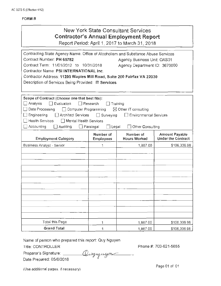| New York State Consultant Services<br><b>Contractor's Annual Employment Report</b><br>Report Period: April 1, 2017 to March 31, 2018                                                                                                                                                                                                                                                                                                   |                        |                                  |                                                    |  |  |
|----------------------------------------------------------------------------------------------------------------------------------------------------------------------------------------------------------------------------------------------------------------------------------------------------------------------------------------------------------------------------------------------------------------------------------------|------------------------|----------------------------------|----------------------------------------------------|--|--|
| Contracting State Agency Name: Office of Alcoholism and Substance Abuse Services<br>Contract Number: PH 65782<br>Agency Business Unit: OAS01<br>Contract Term: 11/01/2012 to 10/31/2018<br>Agency Department ID: 3670000<br>Contractor Name: PSI INTERNATIONAL Inc.<br>Contractor Address: 11200 Waples Mill Road, Suite 200 Fairfax VA 22030<br>Description of Services Being Provided: IT Services                                   |                        |                                  |                                                    |  |  |
| Scope of Contract (Choose one that best fits):<br>$\Box$ Analysis<br>$\Box$ Evaluation<br>$\Box$ Research<br>Training<br>$\Box$ Data Processing<br>Computer Programming<br>$\boxtimes$ Other IT consulting<br>$\Box$ Engineering<br>□ Architect Services □ Surveying<br>Environmental Services<br>$\Box$ Health Services<br>□ Mental Health Services<br>Accounting<br>Auditing<br>$\Box$ Paralegal<br>$\Box$ Legal<br>Other Consulting |                        |                                  |                                                    |  |  |
| <b>Employment Category</b>                                                                                                                                                                                                                                                                                                                                                                                                             | Number of<br>Employees | Number of<br><b>Hours Worked</b> | <b>Amount Payable</b><br><b>Under the Contract</b> |  |  |
| Business Analyst - Senior                                                                                                                                                                                                                                                                                                                                                                                                              | 1                      | 1,867.00                         | \$106,306.98                                       |  |  |
| Total this Page                                                                                                                                                                                                                                                                                                                                                                                                                        | 1                      | 1,867.00                         | \$106,306.98                                       |  |  |
| <b>Grand Total</b>                                                                                                                                                                                                                                                                                                                                                                                                                     | 1                      | 1,867.00                         | \$106,306.98                                       |  |  |

Name of person who prepared this report: Quy Nguyen

Title: CONTROLLER

Phone #: 703-621-5855

Preparer's Signature:  $Q_{\mu\nu}$   $_{\mu}$   $_{\mu}$   $_{\nu}$   $_{\mu}$ 

Date Prepared: 05/8/2018

(Use additional pages, if necessary) **Page 01** of 01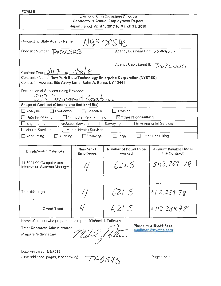## New York State Consultant Services Contractor's Annual Employment Report Report Period: April 1, 2017 to March 31, 2018

| Contracting State Agency Name:<br>NYS CASAS                                         |                               |  |  |  |  |
|-------------------------------------------------------------------------------------|-------------------------------|--|--|--|--|
| Contract Number: PNZ&SAB                                                            | Agency Business Unit: 0A501   |  |  |  |  |
| Agency Department ID: 3670000<br>Contract Term: $\frac{3}{17}$ to $\frac{2}{28}$ IF |                               |  |  |  |  |
| Contractor Name: New York State Technology Enterprise Corporation (NYSTEC)          |                               |  |  |  |  |
| Contractor Address: 500 Avery Lane, Suite A, Rome, NY 13441                         |                               |  |  |  |  |
| Description of Services Being Provided:                                             |                               |  |  |  |  |
| CHR Procurement assistance                                                          |                               |  |  |  |  |
| Scope of Contract (Choose one that best fits):                                      |                               |  |  |  |  |
| Evaluation<br>$\Box$ Analysis<br>L   Research                                       | Training                      |  |  |  |  |
| $\boxtimes$ Other IT consulting<br>Data Processing<br>$\Box$ Computer Programming   |                               |  |  |  |  |
| Engineering<br><b>Architect Services</b><br>$\Box$ Surveying                        | <b>Environmental Services</b> |  |  |  |  |
| $\Box$ Health Services<br>Mental Health Services                                    |                               |  |  |  |  |
| $\Box$ Accounting<br>Auditing<br>$\Box$ Paralegal                                   | Other Consulting<br>Legal     |  |  |  |  |

| <b>Employment Category</b>                                                                                                                           | Number of<br><b>Employees</b> | Number of hours to be<br>worked | <b>Amount Payable Under</b><br>the Contract |  |
|------------------------------------------------------------------------------------------------------------------------------------------------------|-------------------------------|---------------------------------|---------------------------------------------|--|
| 11-3021.00 Computer and<br>Information Systems Manager                                                                                               |                               | 621.5                           | 3/12,289.78                                 |  |
| Total this page                                                                                                                                      |                               | 621.5                           | 5112,289.78                                 |  |
| <b>Grand Total</b>                                                                                                                                   |                               | 621.5                           | \$112, 289.78                               |  |
| Name of person who prepared this report: Michael J. Tallman<br>Phone #: 315-334-7843<br><b>Title: Contracts Administrator</b><br>mtallman@nystec.com |                               |                                 |                                             |  |

Title: Contracts Administrator<br>Preparer's Signature: Michil Juli

Date Prepared: 5/8/2018

(Use additional pages, if necessary)  $\overline{\phantom{A}}$   $\overline{\phantom{A}}$   $\overline{\phantom{A}}$   $\overline{\phantom{A}}$   $\overline{\phantom{A}}$   $\overline{\phantom{A}}$   $\overline{\phantom{A}}$   $\overline{\phantom{A}}$   $\overline{\phantom{A}}$   $\overline{\phantom{A}}$   $\overline{\phantom{A}}$   $\overline{\phantom{A}}$   $\overline{\phantom{A}}$   $\overline{\phantom{A}}$   $\overline{\phantom{A}}$   $\overline$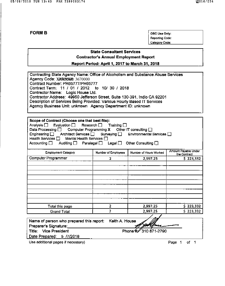OSC Use Only: **Reporting Code:** Category Code:

## **State Consultant Services Contractor's Annual Employment Report**

Report Period: April 1, 2017 to March 31, 2018

| Contracting State Agency Name: Office of Alcoholism and Substance Abuse Services |
|----------------------------------------------------------------------------------|
| Agency Code: XIXKOOWA 3670000                                                    |
| Contract Number: PR65777/PH65777                                                 |
| Contract Term: 11 / 01 / 2012 to 10/ 30 / 2018                                   |
| Contractor Name: Logic House Ltd.                                                |
| Contractor Address: 49950 Jefferson Street, Suite 130-391, Indio CA 92201        |
| Description of Services Being Provided: Various Hourly Based IT Services         |
| Agency Business Unit: unknown Agency Department ID: unknown                      |
|                                                                                  |

| Scope of Contract (Choose one that best fits):<br>Analysis $\Box$ Evaluation $\Box$ Research $\Box$ Training $\Box$<br>Data Processing $\square$ Computer Programming X Other IT consulting $\square$<br>Engineering □ Architect Services □ Surveying □ Environmental Services □<br>Health Services □ Mental Health Services □<br>Accounting $\square$<br>Auditing $\Box$ Paralegal $\Box$ Legal $\Box$ |                                                                                       | Other Consulting $\square$ |                        |  |  |
|---------------------------------------------------------------------------------------------------------------------------------------------------------------------------------------------------------------------------------------------------------------------------------------------------------------------------------------------------------------------------------------------------------|---------------------------------------------------------------------------------------|----------------------------|------------------------|--|--|
| <b>Employment Category</b>                                                                                                                                                                                                                                                                                                                                                                              | Amount Payable Under<br>Number of Hours Worked<br>Number of Employees<br>the Contract |                            |                        |  |  |
| Computer Programmer                                                                                                                                                                                                                                                                                                                                                                                     | 2                                                                                     | 2,997.25                   | \$223,332              |  |  |
| Total this page<br><b>Grand Total</b>                                                                                                                                                                                                                                                                                                                                                                   | 2<br>2                                                                                | 2,997.25<br>2,997.25       | \$223,332<br>\$223,332 |  |  |
| Name of person who prepared this report:                                                                                                                                                                                                                                                                                                                                                                | Keith A. House                                                                        |                            |                        |  |  |

| Name of person who prepared this report: Keith A. House |                      |
|---------------------------------------------------------|----------------------|
| Preparer's Signature:                                   | Apollona -           |
| Title: Vice President                                   | Phone # 310 871-2790 |
| Date Prepared: 5 /7/2018                                |                      |
|                                                         |                      |

Use additional pages if necessary)

Page 1 of 1